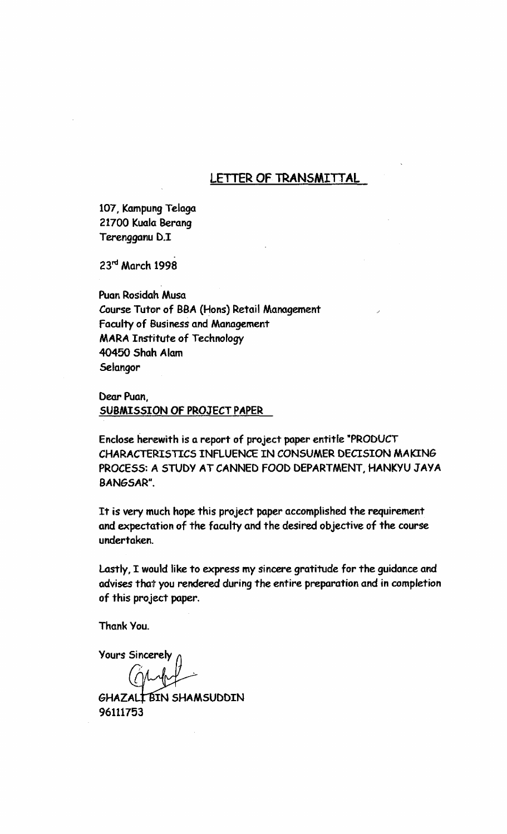### **LETTER OF TRANSMITTAL**

107, Kompung Telaga 21700 Kuala Berang Terengganu D.I

23rd March 1998

Puan Rosidah Musa Course Tutor of BBA (Hons) Retail Management Faculty of Business and Management MARA Institute of Technology 40450 Shah Alam Selangor

**Dear Puan,**  SUBMISSION OF PROJECT PAPER

Enclose herewith is a report of project paper entitle "PRODUCT CHARACTERISTICS INFLUENCE IN CONSUMER DECISION MAKING PROCESS: A STUDY AT CANNED FOOD DEPARTMENT, HANKYU JAYA BANGSAR".

It is very much hope this project paper accomplished the requirement and expectation of the faculty and the desired objective of the course undertaken.

Lastly, I would like to express my sincere gratitude for the guidance and advises that you rendered during the entire preparation and in completion of this project paper.

Thank You.

Yours Sincerely

GHAZALT BIN SHAMSUDDIN 96111753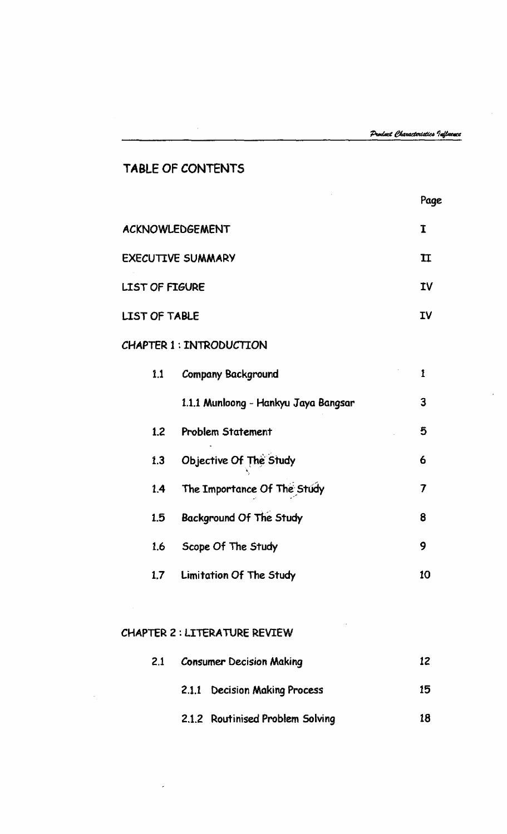# **TABLE OF CONTENTS**

|                        |                  |                                      | Page         |  |
|------------------------|------------------|--------------------------------------|--------------|--|
| <b>ACKNOWLEDGEMENT</b> |                  |                                      |              |  |
| EXECUTIVE SUMMARY      |                  |                                      |              |  |
| LIST OF FIGURE         |                  |                                      |              |  |
| <b>LIST OF TABLE</b>   |                  |                                      |              |  |
|                        |                  | CHAPTER 1 : INTRODUCTION             |              |  |
|                        | 1.1              | Company Background                   | $\mathbf{1}$ |  |
|                        |                  | 1.1.1 Munloong - Hankyu Jaya Bangsar | 3            |  |
|                        | 1.2 <sub>2</sub> | <b>Problem Statement</b>             | 5            |  |
|                        | 1.3              | Objective Of The Study               | 6            |  |
|                        | 1.4              | The Importance Of The Study          | 7            |  |
|                        | 1.5              | Background Of The Study              | 8            |  |
|                        | 1.6              | Scope Of The Study                   | 9            |  |
|                        | 1.7 <sub>2</sub> | Limitation Of The Study              | 10           |  |

Ġ,

# CHAPTER 2 : LITERATURE REVIEW

L.

| 2.1 | <b>Consumer Decision Making</b> | 12                               |    |
|-----|---------------------------------|----------------------------------|----|
|     |                                 | 2.1.1 Decision Making Process    | 15 |
|     |                                 | 2.1.2 Routinised Problem Solving | 18 |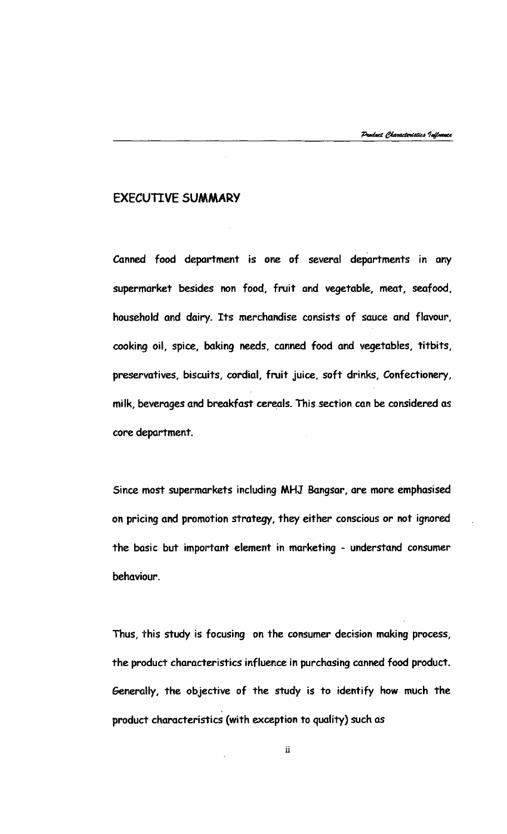## **EXECUTIVE SUMMARY**

Canned food department is one of several departments in any supermarket besides non food, fruit and vegetable, meat, seafood, household and dairy. Its merchandise consists of sauce and flavour, cooking oil, spice, baking needs, canned food and vegetables, titbits, preservatives, biscuits, cordial, fruit juice, soft drinks, Confectionery, milk, beverages and breakfast cereals. This section can be considered as core department.

Since most supermarkets including MHJ Bangsar, ore more emphasised on pricing and promotion strategy, they either conscious or not ignored the basic but important element in marketing - understand consumer behaviour.

Thus, this study is focusing on the consumer decision making process, the product characteristics influence in purchasing canned food product. Generally, the objective of the study is to identify how much the product characteristics (with exception to quality) such as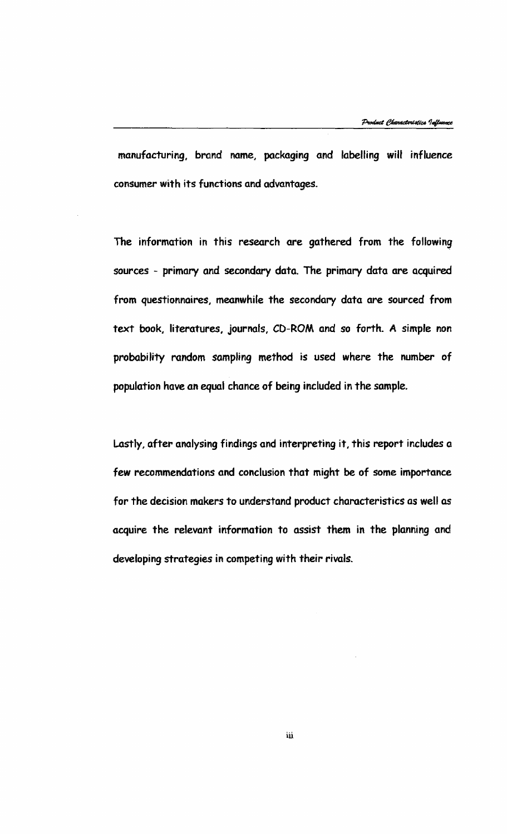manufacturing, brand name, packaging and labelling will influence consumer with its functions and advantages.

The information in this research are gathered from the following sources - primary and secondary data. The primary data are acquired from questionnaires, meanwhile the secondary data are sourced from text book, literatures, journals, CD-ROM and so forth. *A* simple non probability random sampling method is used where the number of population have *an* equal chance of being included in the sample.

Lastly, after analysing findings and interpreting it, this report includes *a few* recommendations and conclusion that might be of some importance for the decision makers to understand product characteristics *as* well *as*  acquire the relevant information to assist them in the planning and developing strategies in competing with their rivals.